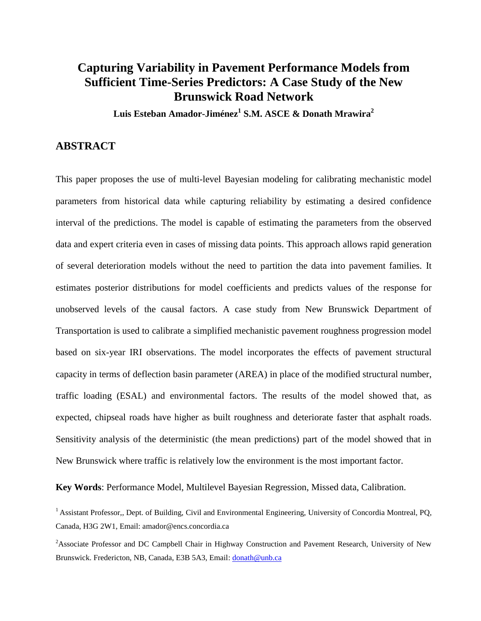# **Capturing Variability in Pavement Performance Models from Sufficient Time-Series Predictors: A Case Study of the New Brunswick Road Network**

**Luis Esteban Amador-Jiménez<sup>1</sup> S.M. ASCE & Donath Mrawira<sup>2</sup>**

### **ABSTRACT**

This paper proposes the use of multi-level Bayesian modeling for calibrating mechanistic model parameters from historical data while capturing reliability by estimating a desired confidence interval of the predictions. The model is capable of estimating the parameters from the observed data and expert criteria even in cases of missing data points. This approach allows rapid generation of several deterioration models without the need to partition the data into pavement families. It estimates posterior distributions for model coefficients and predicts values of the response for unobserved levels of the causal factors. A case study from New Brunswick Department of Transportation is used to calibrate a simplified mechanistic pavement roughness progression model based on six-year IRI observations. The model incorporates the effects of pavement structural capacity in terms of deflection basin parameter (AREA) in place of the modified structural number, traffic loading (ESAL) and environmental factors. The results of the model showed that, as expected, chipseal roads have higher as built roughness and deteriorate faster that asphalt roads. Sensitivity analysis of the deterministic (the mean predictions) part of the model showed that in New Brunswick where traffic is relatively low the environment is the most important factor.

**Key Words**: Performance Model, Multilevel Bayesian Regression, Missed data, Calibration.

<sup>1</sup> Assistant Professor,, Dept. of Building, Civil and Environmental Engineering, University of Concordia Montreal, PQ, Canada, H3G 2W1, Email: amador@encs.concordia.ca

<sup>2</sup>Associate Professor and DC Campbell Chair in Highway Construction and Pavement Research, University of New Brunswick. Fredericton, NB, Canada, E3B 5A3, Email: [donath@unb.ca](mailto:Donath@unb.ca)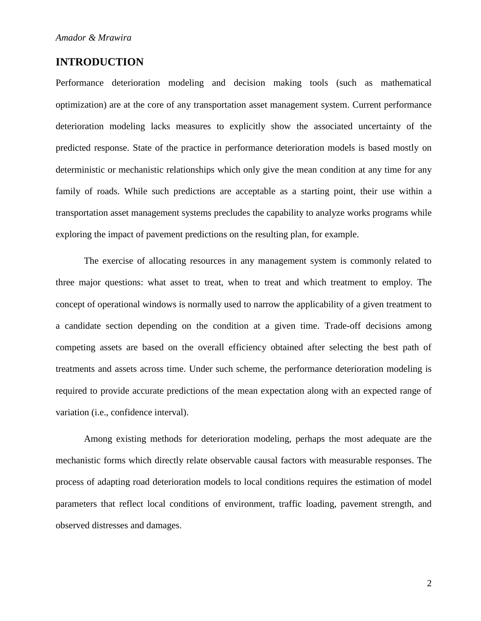### **INTRODUCTION**

Performance deterioration modeling and decision making tools (such as mathematical optimization) are at the core of any transportation asset management system. Current performance deterioration modeling lacks measures to explicitly show the associated uncertainty of the predicted response. State of the practice in performance deterioration models is based mostly on deterministic or mechanistic relationships which only give the mean condition at any time for any family of roads. While such predictions are acceptable as a starting point, their use within a transportation asset management systems precludes the capability to analyze works programs while exploring the impact of pavement predictions on the resulting plan, for example.

The exercise of allocating resources in any management system is commonly related to three major questions: what asset to treat, when to treat and which treatment to employ. The concept of operational windows is normally used to narrow the applicability of a given treatment to a candidate section depending on the condition at a given time. Trade-off decisions among competing assets are based on the overall efficiency obtained after selecting the best path of treatments and assets across time. Under such scheme, the performance deterioration modeling is required to provide accurate predictions of the mean expectation along with an expected range of variation (i.e., confidence interval).

Among existing methods for deterioration modeling, perhaps the most adequate are the mechanistic forms which directly relate observable causal factors with measurable responses. The process of adapting road deterioration models to local conditions requires the estimation of model parameters that reflect local conditions of environment, traffic loading, pavement strength, and observed distresses and damages.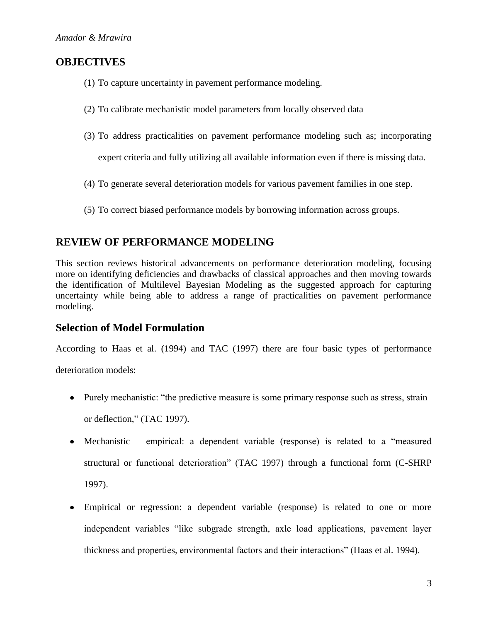# **OBJECTIVES**

- (1) To capture uncertainty in pavement performance modeling.
- (2) To calibrate mechanistic model parameters from locally observed data
- (3) To address practicalities on pavement performance modeling such as; incorporating

expert criteria and fully utilizing all available information even if there is missing data.

- (4) To generate several deterioration models for various pavement families in one step.
- (5) To correct biased performance models by borrowing information across groups.

# **REVIEW OF PERFORMANCE MODELING**

This section reviews historical advancements on performance deterioration modeling, focusing more on identifying deficiencies and drawbacks of classical approaches and then moving towards the identification of Multilevel Bayesian Modeling as the suggested approach for capturing uncertainty while being able to address a range of practicalities on pavement performance modeling.

### **Selection of Model Formulation**

According to Haas et al. (1994) and TAC (1997) there are four basic types of performance

deterioration models:

- Purely mechanistic: "the predictive measure is some primary response such as stress, strain or deflection," (TAC 1997).
- Mechanistic empirical: a dependent variable (response) is related to a "measured structural or functional deterioration" (TAC 1997) through a functional form (C-SHRP 1997).
- Empirical or regression: a dependent variable (response) is related to one or more independent variables "like subgrade strength, axle load applications, pavement layer thickness and properties, environmental factors and their interactions" (Haas et al. 1994).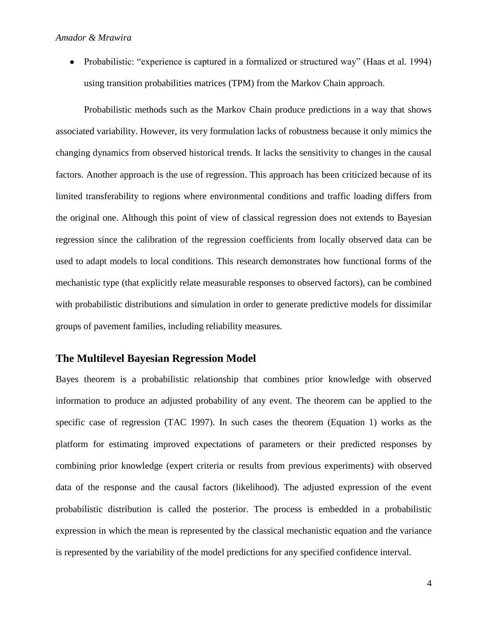• Probabilistic: "experience is captured in a formalized or structured way" (Haas et al. 1994) using transition probabilities matrices (TPM) from the Markov Chain approach.

Probabilistic methods such as the Markov Chain produce predictions in a way that shows associated variability. However, its very formulation lacks of robustness because it only mimics the changing dynamics from observed historical trends. It lacks the sensitivity to changes in the causal factors. Another approach is the use of regression. This approach has been criticized because of its limited transferability to regions where environmental conditions and traffic loading differs from the original one. Although this point of view of classical regression does not extends to Bayesian regression since the calibration of the regression coefficients from locally observed data can be used to adapt models to local conditions. This research demonstrates how functional forms of the mechanistic type (that explicitly relate measurable responses to observed factors), can be combined with probabilistic distributions and simulation in order to generate predictive models for dissimilar groups of pavement families, including reliability measures.

### **The Multilevel Bayesian Regression Model**

Bayes theorem is a probabilistic relationship that combines prior knowledge with observed information to produce an adjusted probability of any event. The theorem can be applied to the specific case of regression (TAC 1997). In such cases the theorem (Equation 1) works as the platform for estimating improved expectations of parameters or their predicted responses by combining prior knowledge (expert criteria or results from previous experiments) with observed data of the response and the causal factors (likelihood). The adjusted expression of the event probabilistic distribution is called the posterior. The process is embedded in a probabilistic expression in which the mean is represented by the classical mechanistic equation and the variance is represented by the variability of the model predictions for any specified confidence interval.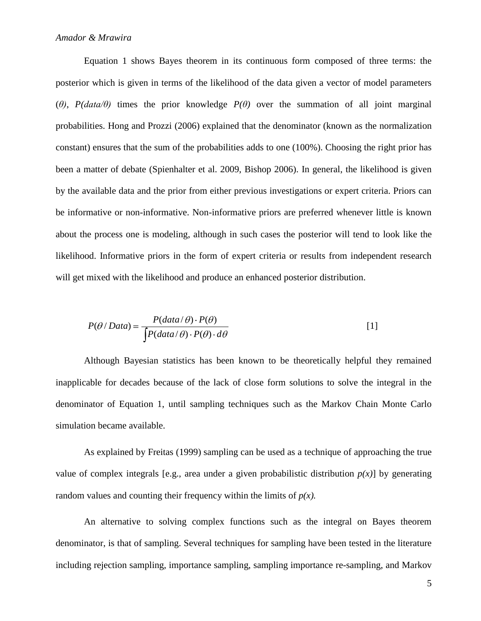Equation 1 shows Bayes theorem in its continuous form composed of three terms: the posterior which is given in terms of the likelihood of the data given a vector of model parameters (*θ)*, *P(data/θ)* times the prior knowledge *P(θ)* over the summation of all joint marginal probabilities. Hong and Prozzi (2006) explained that the denominator (known as the normalization constant) ensures that the sum of the probabilities adds to one (100%). Choosing the right prior has been a matter of debate (Spienhalter et al. 2009, Bishop 2006). In general, the likelihood is given by the available data and the prior from either previous investigations or expert criteria. Priors can be informative or non-informative. Non-informative priors are preferred whenever little is known about the process one is modeling, although in such cases the posterior will tend to look like the likelihood. Informative priors in the form of expert criteria or results from independent research will get mixed with the likelihood and produce an enhanced posterior distribution.

$$
P(\theta / Data) = \frac{P(data / \theta) \cdot P(\theta)}{\int P(data / \theta) \cdot P(\theta) \cdot d\theta}
$$
 [1]

Although Bayesian statistics has been known to be theoretically helpful they remained inapplicable for decades because of the lack of close form solutions to solve the integral in the denominator of Equation 1, until sampling techniques such as the Markov Chain Monte Carlo simulation became available.

As explained by Freitas (1999) sampling can be used as a technique of approaching the true value of complex integrals [e.g., area under a given probabilistic distribution  $p(x)$ ] by generating random values and counting their frequency within the limits of  $p(x)$ .

An alternative to solving complex functions such as the integral on Bayes theorem denominator, is that of sampling. Several techniques for sampling have been tested in the literature including rejection sampling, importance sampling, sampling importance re-sampling, and Markov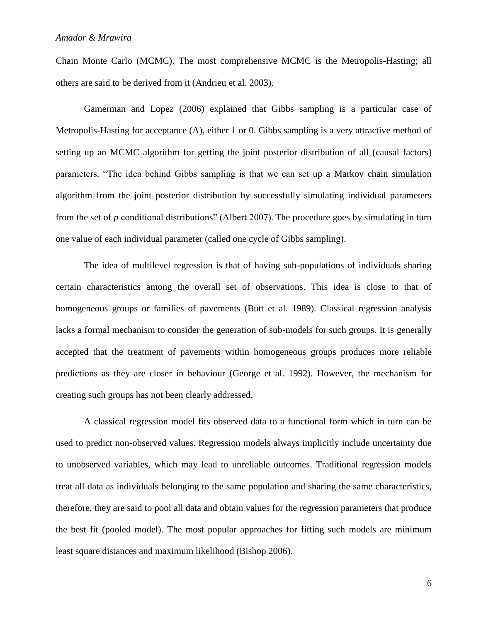Chain Monte Carlo (MCMC). The most comprehensive MCMC is the Metropolis-Hasting; all others are said to be derived from it (Andrieu et al. 2003).

Gamerman and Lopez (2006) explained that Gibbs sampling is a particular case of Metropolis-Hasting for acceptance (A), either 1 or 0. Gibbs sampling is a very attractive method of setting up an MCMC algorithm for getting the joint posterior distribution of all (causal factors) parameters. "The idea behind Gibbs sampling is that we can set up a Markov chain simulation algorithm from the joint posterior distribution by successfully simulating individual parameters from the set of *p* conditional distributions" (Albert 2007). The procedure goes by simulating in turn one value of each individual parameter (called one cycle of Gibbs sampling).

The idea of multilevel regression is that of having sub-populations of individuals sharing certain characteristics among the overall set of observations. This idea is close to that of homogeneous groups or families of pavements (Butt et al. 1989). Classical regression analysis lacks a formal mechanism to consider the generation of sub-models for such groups. It is generally accepted that the treatment of pavements within homogeneous groups produces more reliable predictions as they are closer in behaviour (George et al. 1992). However, the mechanism for creating such groups has not been clearly addressed.

A classical regression model fits observed data to a functional form which in turn can be used to predict non-observed values. Regression models always implicitly include uncertainty due to unobserved variables, which may lead to unreliable outcomes. Traditional regression models treat all data as individuals belonging to the same population and sharing the same characteristics, therefore, they are said to pool all data and obtain values for the regression parameters that produce the best fit (pooled model). The most popular approaches for fitting such models are minimum least square distances and maximum likelihood (Bishop 2006).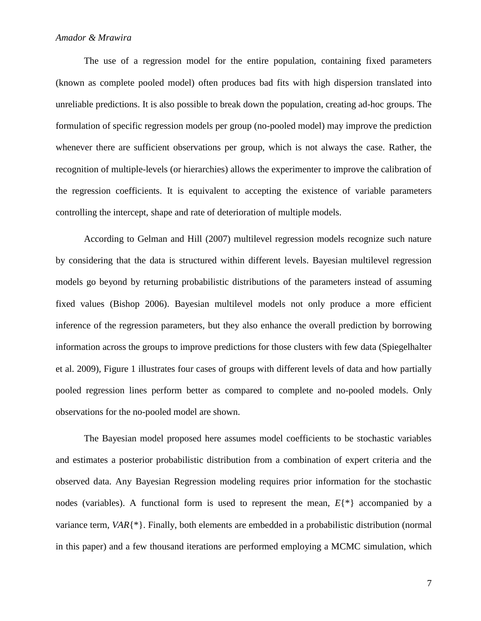#### *Amador & Mrawira*

The use of a regression model for the entire population, containing fixed parameters (known as complete pooled model) often produces bad fits with high dispersion translated into unreliable predictions. It is also possible to break down the population, creating ad-hoc groups. The formulation of specific regression models per group (no-pooled model) may improve the prediction whenever there are sufficient observations per group, which is not always the case. Rather, the recognition of multiple-levels (or hierarchies) allows the experimenter to improve the calibration of the regression coefficients. It is equivalent to accepting the existence of variable parameters controlling the intercept, shape and rate of deterioration of multiple models.

According to Gelman and Hill (2007) multilevel regression models recognize such nature by considering that the data is structured within different levels. Bayesian multilevel regression models go beyond by returning probabilistic distributions of the parameters instead of assuming fixed values (Bishop 2006). Bayesian multilevel models not only produce a more efficient inference of the regression parameters, but they also enhance the overall prediction by borrowing information across the groups to improve predictions for those clusters with few data (Spiegelhalter et al. 2009), Figure 1 illustrates four cases of groups with different levels of data and how partially pooled regression lines perform better as compared to complete and no-pooled models. Only observations for the no-pooled model are shown.

The Bayesian model proposed here assumes model coefficients to be stochastic variables and estimates a posterior probabilistic distribution from a combination of expert criteria and the observed data. Any Bayesian Regression modeling requires prior information for the stochastic nodes (variables). A functional form is used to represent the mean, *E*{\*} accompanied by a variance term, *VAR*{\*}. Finally, both elements are embedded in a probabilistic distribution (normal in this paper) and a few thousand iterations are performed employing a MCMC simulation, which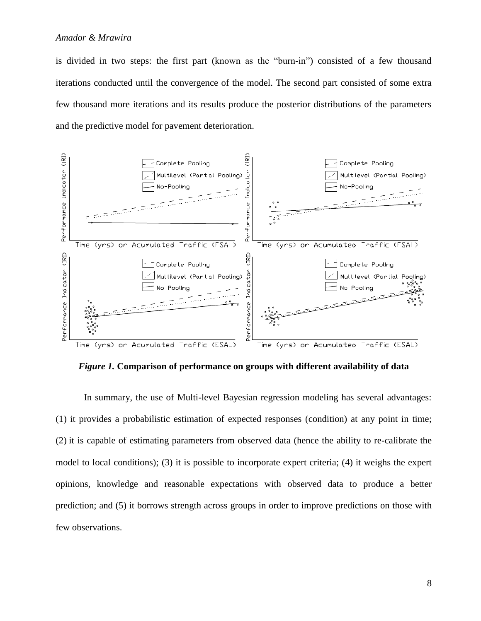is divided in two steps: the first part (known as the "burn-in") consisted of a few thousand iterations conducted until the convergence of the model. The second part consisted of some extra few thousand more iterations and its results produce the posterior distributions of the parameters and the predictive model for pavement deterioration.



*Figure 1.* **Comparison of performance on groups with different availability of data**

In summary, the use of Multi-level Bayesian regression modeling has several advantages: (1) it provides a probabilistic estimation of expected responses (condition) at any point in time; (2) it is capable of estimating parameters from observed data (hence the ability to re-calibrate the model to local conditions); (3) it is possible to incorporate expert criteria; (4) it weighs the expert opinions, knowledge and reasonable expectations with observed data to produce a better prediction; and (5) it borrows strength across groups in order to improve predictions on those with few observations.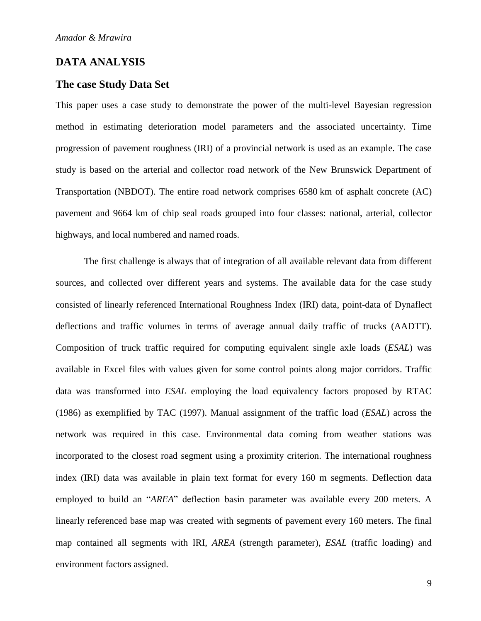# **DATA ANALYSIS**

#### **The case Study Data Set**

This paper uses a case study to demonstrate the power of the multi-level Bayesian regression method in estimating deterioration model parameters and the associated uncertainty. Time progression of pavement roughness (IRI) of a provincial network is used as an example. The case study is based on the arterial and collector road network of the New Brunswick Department of Transportation (NBDOT). The entire road network comprises 6580 km of asphalt concrete (AC) pavement and 9664 km of chip seal roads grouped into four classes: national, arterial, collector highways, and local numbered and named roads.

The first challenge is always that of integration of all available relevant data from different sources, and collected over different years and systems. The available data for the case study consisted of linearly referenced International Roughness Index (IRI) data, point-data of Dynaflect deflections and traffic volumes in terms of average annual daily traffic of trucks (AADTT). Composition of truck traffic required for computing equivalent single axle loads (*ESAL*) was available in Excel files with values given for some control points along major corridors. Traffic data was transformed into *ESAL* employing the load equivalency factors proposed by RTAC (1986) as exemplified by TAC (1997). Manual assignment of the traffic load (*ESAL*) across the network was required in this case. Environmental data coming from weather stations was incorporated to the closest road segment using a proximity criterion. The international roughness index (IRI) data was available in plain text format for every 160 m segments. Deflection data employed to build an "*AREA*" deflection basin parameter was available every 200 meters. A linearly referenced base map was created with segments of pavement every 160 meters. The final map contained all segments with IRI, *AREA* (strength parameter), *ESAL* (traffic loading) and environment factors assigned.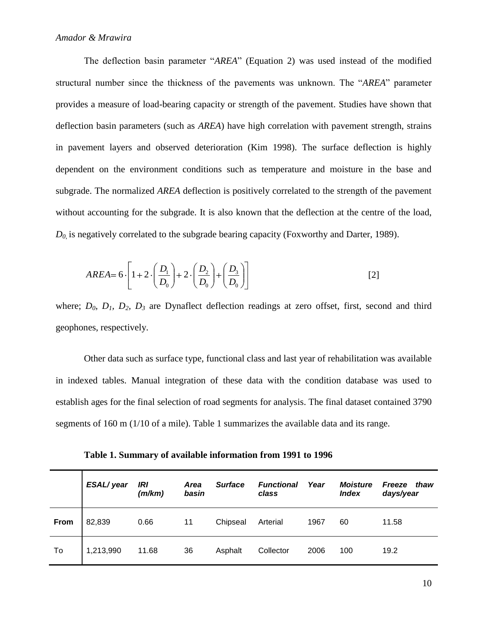The deflection basin parameter "*AREA*" (Equation 2) was used instead of the modified structural number since the thickness of the pavements was unknown. The "*AREA*" parameter provides a measure of load-bearing capacity or strength of the pavement. Studies have shown that deflection basin parameters (such as *AREA*) have high correlation with pavement strength, strains in pavement layers and observed deterioration (Kim 1998). The surface deflection is highly dependent on the environment conditions such as temperature and moisture in the base and subgrade. The normalized *AREA* deflection is positively correlated to the strength of the pavement without accounting for the subgrade. It is also known that the deflection at the centre of the load,  $D_0$  is negatively correlated to the subgrade bearing capacity (Foxworthy and Darter, 1989).

$$
AREA = 6 \cdot \left[ 1 + 2 \cdot \left( \frac{D_1}{D_0} \right) + 2 \cdot \left( \frac{D_2}{D_0} \right) + \left( \frac{D_3}{D_0} \right) \right]
$$
 [2]

where; *D0, D1, D2, D<sup>3</sup>* are Dynaflect deflection readings at zero offset, first, second and third geophones, respectively.

Other data such as surface type, functional class and last year of rehabilitation was available in indexed tables. Manual integration of these data with the condition database was used to establish ages for the final selection of road segments for analysis. The final dataset contained 3790 segments of 160 m (1/10 of a mile). Table 1 summarizes the available data and its range.

**Table 1. Summary of available information from 1991 to 1996**

|      | ESAL/year | IRI<br>(m/km) | <b>Area</b><br>basin | <b>Surface</b> | <b>Functional</b><br>class | Year | <b>Moisture</b><br><b>Index</b> | Freeze<br>thaw<br>days/year |
|------|-----------|---------------|----------------------|----------------|----------------------------|------|---------------------------------|-----------------------------|
| From | 82,839    | 0.66          | 11                   | Chipseal       | Arterial                   | 1967 | 60                              | 11.58                       |
| To   | 1,213,990 | 11.68         | 36                   | Asphalt        | Collector                  | 2006 | 100                             | 19.2                        |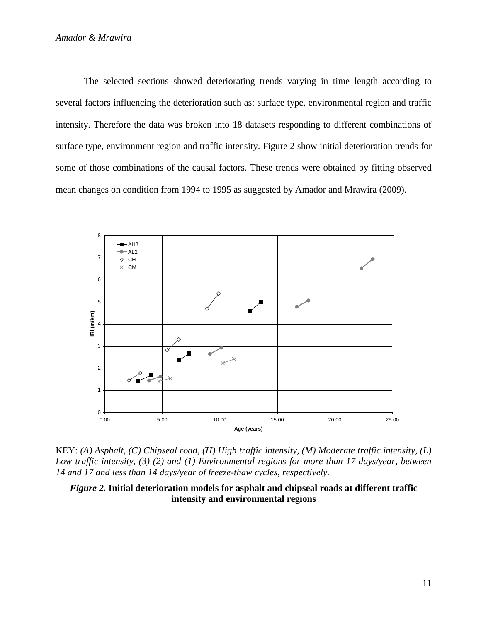The selected sections showed deteriorating trends varying in time length according to several factors influencing the deterioration such as: surface type, environmental region and traffic intensity. Therefore the data was broken into 18 datasets responding to different combinations of surface type, environment region and traffic intensity. Figure 2 show initial deterioration trends for some of those combinations of the causal factors. These trends were obtained by fitting observed mean changes on condition from 1994 to 1995 as suggested by Amador and Mrawira (2009).



KEY: *(A) Asphalt, (C) Chipseal road, (H) High traffic intensity, (M) Moderate traffic intensity, (L) Low traffic intensity, (3) (2) and (1) Environmental regions for more than 17 days/year, between 14 and 17 and less than 14 days/year of freeze-thaw cycles, respectively.*

*Figure 2.* **Initial deterioration models for asphalt and chipseal roads at different traffic intensity and environmental regions**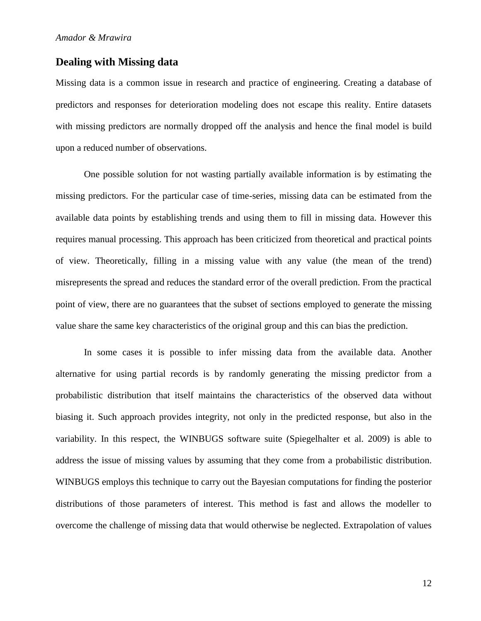#### **Dealing with Missing data**

Missing data is a common issue in research and practice of engineering. Creating a database of predictors and responses for deterioration modeling does not escape this reality. Entire datasets with missing predictors are normally dropped off the analysis and hence the final model is build upon a reduced number of observations.

One possible solution for not wasting partially available information is by estimating the missing predictors. For the particular case of time-series, missing data can be estimated from the available data points by establishing trends and using them to fill in missing data. However this requires manual processing. This approach has been criticized from theoretical and practical points of view. Theoretically, filling in a missing value with any value (the mean of the trend) misrepresents the spread and reduces the standard error of the overall prediction. From the practical point of view, there are no guarantees that the subset of sections employed to generate the missing value share the same key characteristics of the original group and this can bias the prediction.

In some cases it is possible to infer missing data from the available data. Another alternative for using partial records is by randomly generating the missing predictor from a probabilistic distribution that itself maintains the characteristics of the observed data without biasing it. Such approach provides integrity, not only in the predicted response, but also in the variability. In this respect, the WINBUGS software suite (Spiegelhalter et al. 2009) is able to address the issue of missing values by assuming that they come from a probabilistic distribution. WINBUGS employs this technique to carry out the Bayesian computations for finding the posterior distributions of those parameters of interest. This method is fast and allows the modeller to overcome the challenge of missing data that would otherwise be neglected. Extrapolation of values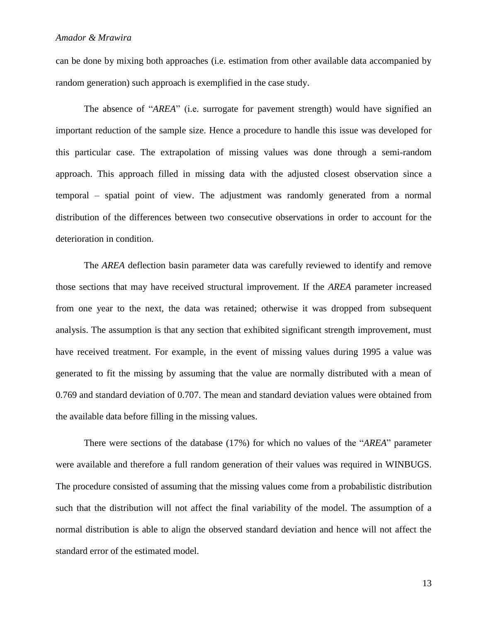can be done by mixing both approaches (i.e. estimation from other available data accompanied by random generation) such approach is exemplified in the case study.

The absence of "*AREA*" (i.e. surrogate for pavement strength) would have signified an important reduction of the sample size. Hence a procedure to handle this issue was developed for this particular case. The extrapolation of missing values was done through a semi-random approach. This approach filled in missing data with the adjusted closest observation since a temporal – spatial point of view. The adjustment was randomly generated from a normal distribution of the differences between two consecutive observations in order to account for the deterioration in condition.

The *AREA* deflection basin parameter data was carefully reviewed to identify and remove those sections that may have received structural improvement. If the *AREA* parameter increased from one year to the next, the data was retained; otherwise it was dropped from subsequent analysis. The assumption is that any section that exhibited significant strength improvement, must have received treatment. For example, in the event of missing values during 1995 a value was generated to fit the missing by assuming that the value are normally distributed with a mean of 0.769 and standard deviation of 0.707. The mean and standard deviation values were obtained from the available data before filling in the missing values.

There were sections of the database (17%) for which no values of the "*AREA*" parameter were available and therefore a full random generation of their values was required in WINBUGS. The procedure consisted of assuming that the missing values come from a probabilistic distribution such that the distribution will not affect the final variability of the model. The assumption of a normal distribution is able to align the observed standard deviation and hence will not affect the standard error of the estimated model.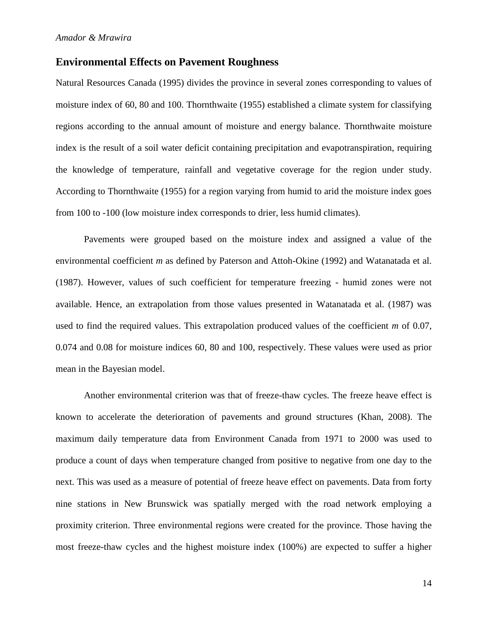#### **Environmental Effects on Pavement Roughness**

Natural Resources Canada (1995) divides the province in several zones corresponding to values of moisture index of 60, 80 and 100. Thornthwaite (1955) established a climate system for classifying regions according to the annual amount of moisture and energy balance. Thornthwaite moisture index is the result of a soil water deficit containing precipitation and evapotranspiration, requiring the knowledge of temperature, rainfall and vegetative coverage for the region under study. According to Thornthwaite (1955) for a region varying from humid to arid the moisture index goes from 100 to -100 (low moisture index corresponds to drier, less humid climates).

Pavements were grouped based on the moisture index and assigned a value of the environmental coefficient *m* as defined by Paterson and Attoh-Okine (1992) and Watanatada et al. (1987). However, values of such coefficient for temperature freezing - humid zones were not available. Hence, an extrapolation from those values presented in Watanatada et al. (1987) was used to find the required values. This extrapolation produced values of the coefficient *m* of 0.07, 0.074 and 0.08 for moisture indices 60, 80 and 100, respectively. These values were used as prior mean in the Bayesian model.

Another environmental criterion was that of freeze-thaw cycles. The freeze heave effect is known to accelerate the deterioration of pavements and ground structures (Khan, 2008). The maximum daily temperature data from Environment Canada from 1971 to 2000 was used to produce a count of days when temperature changed from positive to negative from one day to the next. This was used as a measure of potential of freeze heave effect on pavements. Data from forty nine stations in New Brunswick was spatially merged with the road network employing a proximity criterion. Three environmental regions were created for the province. Those having the most freeze-thaw cycles and the highest moisture index (100%) are expected to suffer a higher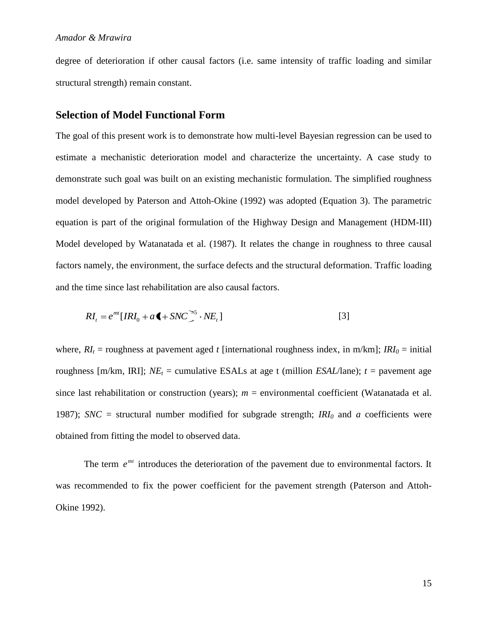degree of deterioration if other causal factors (i.e. same intensity of traffic loading and similar structural strength) remain constant.

### **Selection of Model Functional Form**

The goal of this present work is to demonstrate how multi-level Bayesian regression can be used to estimate a mechanistic deterioration model and characterize the uncertainty. A case study to demonstrate such goal was built on an existing mechanistic formulation. The simplified roughness model developed by Paterson and Attoh-Okine (1992) was adopted (Equation 3). The parametric equation is part of the original formulation of the Highway Design and Management (HDM-III) Model developed by Watanatada et al. (1987). It relates the change in roughness to three causal factors namely, the environment, the surface defects and the structural deformation. Traffic loading and the time since last rehabilitation are also causal factors.

$$
RI_t = e^{mt} [IRI_0 + a \blacktriangleleft + SNC \right]^{-5} \cdot NE_t]
$$
 [3]

where,  $RI_t$  = roughness at pavement aged *t* [international roughness index, in m/km];  $IRI_0$  = initial roughness [m/km, IRI];  $NE<sub>t</sub>$  = cumulative ESALs at age t (million *ESAL*/lane); *t* = pavement age since last rehabilitation or construction (years);  $m =$  environmental coefficient (Watanatada et al. 1987); *SNC* = structural number modified for subgrade strength;  $IRI_0$  and *a* coefficients were obtained from fitting the model to observed data.

The term  $e^{mt}$  introduces the deterioration of the pavement due to environmental factors. It was recommended to fix the power coefficient for the pavement strength (Paterson and Attoh-Okine 1992).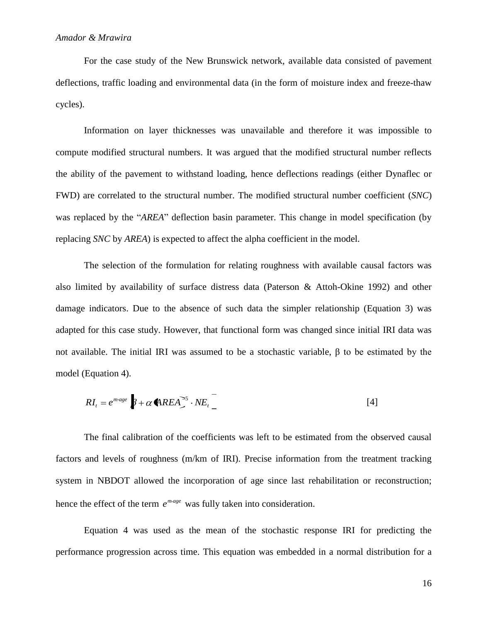For the case study of the New Brunswick network, available data consisted of pavement deflections, traffic loading and environmental data (in the form of moisture index and freeze-thaw cycles).

Information on layer thicknesses was unavailable and therefore it was impossible to compute modified structural numbers. It was argued that the modified structural number reflects the ability of the pavement to withstand loading, hence deflections readings (either Dynaflec or FWD) are correlated to the structural number. The modified structural number coefficient (*SNC*) was replaced by the "*AREA*" deflection basin parameter. This change in model specification (by replacing *SNC* by *AREA*) is expected to affect the alpha coefficient in the model.

The selection of the formulation for relating roughness with available causal factors was also limited by availability of surface distress data (Paterson & Attoh-Okine 1992) and other damage indicators. Due to the absence of such data the simpler relationship (Equation 3) was adapted for this case study. However, that functional form was changed since initial IRI data was not available. The initial IRI was assumed to be a stochastic variable,  $β$  to be estimated by the model (Equation 4).

$$
RI_t = e^{m \text{age}} \left[ \beta + \alpha \text{A} \text{R} E A \right]^{S} \cdot NE_t \tag{4}
$$

The final calibration of the coefficients was left to be estimated from the observed causal factors and levels of roughness (m/km of IRI). Precise information from the treatment tracking system in NBDOT allowed the incorporation of age since last rehabilitation or reconstruction; hence the effect of the term  $e^{mage}$  was fully taken into consideration.

Equation 4 was used as the mean of the stochastic response IRI for predicting the performance progression across time. This equation was embedded in a normal distribution for a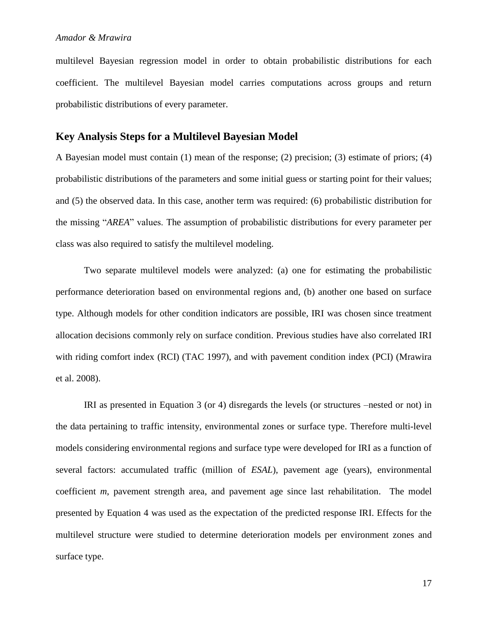multilevel Bayesian regression model in order to obtain probabilistic distributions for each coefficient. The multilevel Bayesian model carries computations across groups and return probabilistic distributions of every parameter.

#### **Key Analysis Steps for a Multilevel Bayesian Model**

A Bayesian model must contain (1) mean of the response; (2) precision; (3) estimate of priors; (4) probabilistic distributions of the parameters and some initial guess or starting point for their values; and (5) the observed data. In this case, another term was required: (6) probabilistic distribution for the missing "*AREA*" values. The assumption of probabilistic distributions for every parameter per class was also required to satisfy the multilevel modeling.

Two separate multilevel models were analyzed: (a) one for estimating the probabilistic performance deterioration based on environmental regions and, (b) another one based on surface type. Although models for other condition indicators are possible, IRI was chosen since treatment allocation decisions commonly rely on surface condition. Previous studies have also correlated IRI with riding comfort index (RCI) (TAC 1997), and with pavement condition index (PCI) (Mrawira et al. 2008).

IRI as presented in Equation 3 (or 4) disregards the levels (or structures –nested or not) in the data pertaining to traffic intensity, environmental zones or surface type. Therefore multi-level models considering environmental regions and surface type were developed for IRI as a function of several factors: accumulated traffic (million of *ESAL*), pavement age (years), environmental coefficient *m*, pavement strength area, and pavement age since last rehabilitation. The model presented by Equation 4 was used as the expectation of the predicted response IRI. Effects for the multilevel structure were studied to determine deterioration models per environment zones and surface type.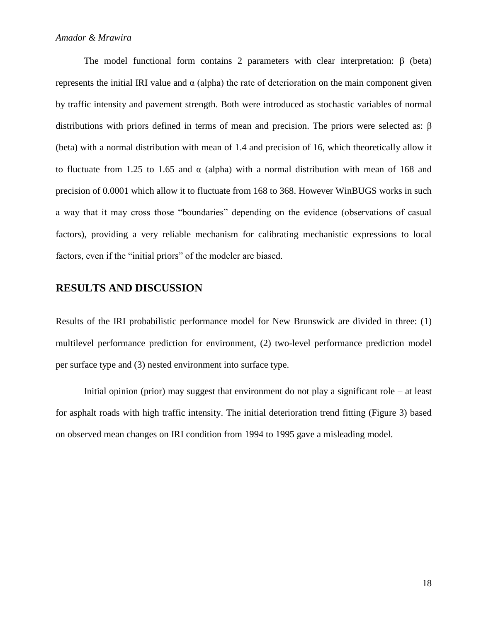#### *Amador & Mrawira*

The model functional form contains 2 parameters with clear interpretation:  $\beta$  (beta) represents the initial IRI value and α (alpha) the rate of deterioration on the main component given by traffic intensity and pavement strength. Both were introduced as stochastic variables of normal distributions with priors defined in terms of mean and precision. The priors were selected as: β (beta) with a normal distribution with mean of 1.4 and precision of 16, which theoretically allow it to fluctuate from 1.25 to 1.65 and  $\alpha$  (alpha) with a normal distribution with mean of 168 and precision of 0.0001 which allow it to fluctuate from 168 to 368. However WinBUGS works in such a way that it may cross those "boundaries" depending on the evidence (observations of casual factors), providing a very reliable mechanism for calibrating mechanistic expressions to local factors, even if the "initial priors" of the modeler are biased.

# **RESULTS AND DISCUSSION**

Results of the IRI probabilistic performance model for New Brunswick are divided in three: (1) multilevel performance prediction for environment, (2) two-level performance prediction model per surface type and (3) nested environment into surface type.

Initial opinion (prior) may suggest that environment do not play a significant role – at least for asphalt roads with high traffic intensity. The initial deterioration trend fitting (Figure 3) based on observed mean changes on IRI condition from 1994 to 1995 gave a misleading model.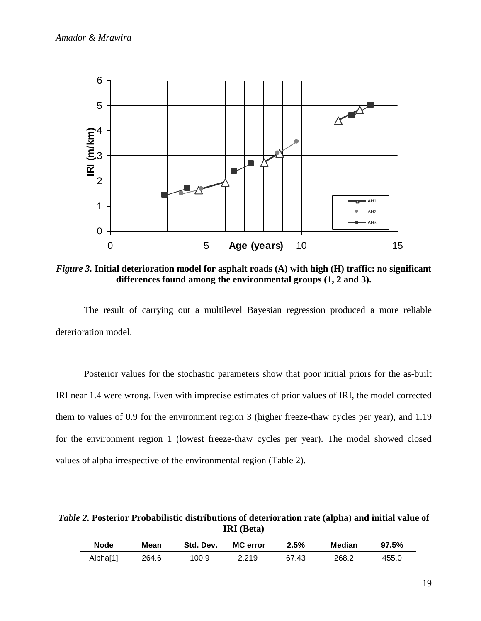

*Figure 3.* **Initial deterioration model for asphalt roads (A) with high (H) traffic: no significant differences found among the environmental groups (1, 2 and 3).**

The result of carrying out a multilevel Bayesian regression produced a more reliable deterioration model.

Posterior values for the stochastic parameters show that poor initial priors for the as-built IRI near 1.4 were wrong. Even with imprecise estimates of prior values of IRI, the model corrected them to values of 0.9 for the environment region 3 (higher freeze-thaw cycles per year), and 1.19 for the environment region 1 (lowest freeze-thaw cycles per year). The model showed closed values of alpha irrespective of the environmental region (Table 2).

*Table 2.* **Posterior Probabilistic distributions of deterioration rate (alpha) and initial value of IRI (Beta)**

| <b>Node</b> | Mean  | Std. Dev. | <b>MC</b> error | 2.5%  | Median | 97.5% |
|-------------|-------|-----------|-----------------|-------|--------|-------|
| Alpha[1]    | 264.6 | 100.9     | 2.219           | 67.43 | 268.2  | 455.0 |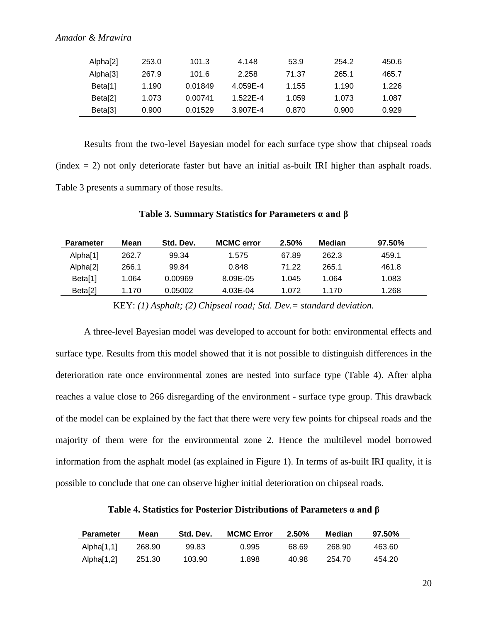| Alpha[2]            | 253.0 | 101.3   | 4.148    | 53.9  | 254.2 | 450.6 |
|---------------------|-------|---------|----------|-------|-------|-------|
| Alpha[3]            | 267.9 | 101.6   | 2.258    | 71.37 | 265.1 | 465.7 |
| Beta[1]             | 1.190 | 0.01849 | 4.059E-4 | 1.155 | 1.190 | 1.226 |
| Beta <sup>[2]</sup> | 1.073 | 0.00741 | 1.522E-4 | 1.059 | 1.073 | 1.087 |
| Beta[3]             | 0.900 | 0.01529 | 3.907E-4 | 0.870 | 0.900 | 0.929 |

Results from the two-level Bayesian model for each surface type show that chipseal roads  $(index = 2)$  not only deteriorate faster but have an initial as-built IRI higher than asphalt roads. Table 3 presents a summary of those results.

| <b>Parameter</b>    | Mean  | Std. Dev. | <b>MCMC</b> error | 2.50% | Median | 97.50% |
|---------------------|-------|-----------|-------------------|-------|--------|--------|
| Alpha[1]            | 262.7 | 99.34     | 1.575             | 67.89 | 262.3  | 459.1  |
| Alpha[2]            | 266.1 | 99.84     | 0.848             | 71.22 | 265.1  | 461.8  |
| Beta[1]             | 1.064 | 0.00969   | 8.09E-05          | 1.045 | 1.064  | 1.083  |
| Beta <sup>[2]</sup> | 1.170 | 0.05002   | 4.03E-04          | 1.072 | 1.170  | 1.268  |

#### **Table 3. Summary Statistics for Parameters α and β**

KEY: *(1) Asphalt; (2) Chipseal road; Std. Dev.= standard deviation.*

A three-level Bayesian model was developed to account for both: environmental effects and surface type. Results from this model showed that it is not possible to distinguish differences in the deterioration rate once environmental zones are nested into surface type (Table 4). After alpha reaches a value close to 266 disregarding of the environment - surface type group. This drawback of the model can be explained by the fact that there were very few points for chipseal roads and the majority of them were for the environmental zone 2. Hence the multilevel model borrowed information from the asphalt model (as explained in Figure 1). In terms of as-built IRI quality, it is possible to conclude that one can observe higher initial deterioration on chipseal roads.

**Table 4. Statistics for Posterior Distributions of Parameters α and β**

| Parameter  | Mean   | Std. Dev. | <b>MCMC Error</b> | 2.50% | Median | $97.50\%$ |
|------------|--------|-----------|-------------------|-------|--------|-----------|
| Alpha[1,1] | 268.90 | 99.83     | 0.995             | 68.69 | 268.90 | 463.60    |
| Alpha[1,2] | 251.30 | 103.90    | 1.898             | 40.98 | 254.70 | 454.20    |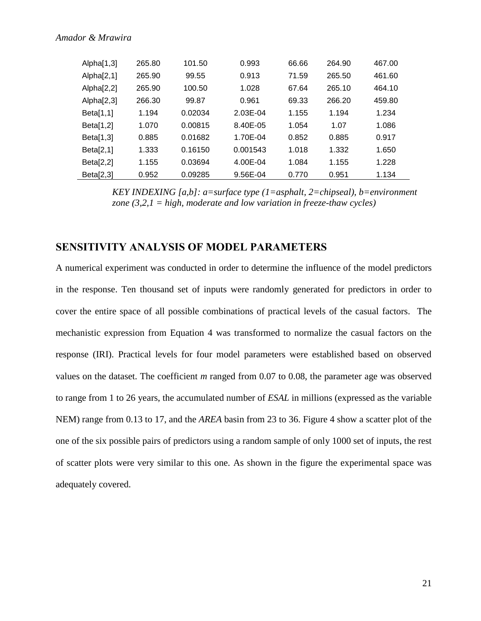| Alpha[1,3]    | 265.80 | 101.50  | 0.993    | 66.66 | 264.90 | 467.00 |
|---------------|--------|---------|----------|-------|--------|--------|
| Alpha $[2,1]$ | 265.90 | 99.55   | 0.913    | 71.59 | 265.50 | 461.60 |
| Alpha[2,2]    | 265.90 | 100.50  | 1.028    | 67.64 | 265.10 | 464.10 |
| Alpha $[2,3]$ | 266.30 | 99.87   | 0.961    | 69.33 | 266.20 | 459.80 |
| Beta[1,1]     | 1.194  | 0.02034 | 2.03E-04 | 1.155 | 1.194  | 1.234  |
| Beta[1,2]     | 1.070  | 0.00815 | 8.40E-05 | 1.054 | 1.07   | 1.086  |
| Beta[1,3]     | 0.885  | 0.01682 | 1.70E-04 | 0.852 | 0.885  | 0.917  |
| Beta[2,1]     | 1.333  | 0.16150 | 0.001543 | 1.018 | 1.332  | 1.650  |
| Beta[2,2]     | 1.155  | 0.03694 | 4.00E-04 | 1.084 | 1.155  | 1.228  |
| Beta[2,3]     | 0.952  | 0.09285 | 9.56E-04 | 0.770 | 0.951  | 1.134  |

*KEY INDEXING [a,b]: a=surface type (1=asphalt, 2=chipseal), b=environment zone (3,2,1 = high, moderate and low variation in freeze-thaw cycles)*

### **SENSITIVITY ANALYSIS OF MODEL PARAMETERS**

A numerical experiment was conducted in order to determine the influence of the model predictors in the response. Ten thousand set of inputs were randomly generated for predictors in order to cover the entire space of all possible combinations of practical levels of the casual factors. The mechanistic expression from Equation 4 was transformed to normalize the casual factors on the response (IRI). Practical levels for four model parameters were established based on observed values on the dataset. The coefficient *m* ranged from 0.07 to 0.08, the parameter age was observed to range from 1 to 26 years, the accumulated number of *ESAL* in millions (expressed as the variable NEM) range from 0.13 to 17, and the *AREA* basin from 23 to 36. Figure 4 show a scatter plot of the one of the six possible pairs of predictors using a random sample of only 1000 set of inputs, the rest of scatter plots were very similar to this one. As shown in the figure the experimental space was adequately covered.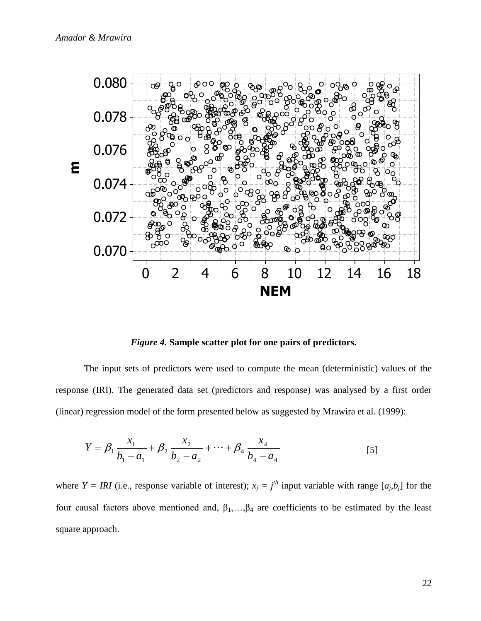

*Figure 4.* **Sample scatter plot for one pairs of predictors.**

The input sets of predictors were used to compute the mean (deterministic) values of the response (IRI). The generated data set (predictors and response) was analysed by a first order (linear) regression model of the form presented below as suggested by Mrawira et al. (1999):

$$
Y = \beta_1 \frac{x_1}{b_1 - a_1} + \beta_2 \frac{x_2}{b_2 - a_2} + \dots + \beta_4 \frac{x_4}{b_4 - a_4}
$$
 [5]

where  $Y = IRI$  (i.e., response variable of interest);  $x_j = j^{th}$  input variable with range  $[a_j, b_j]$  for the four causal factors above mentioned and,  $\beta_1, \ldots, \beta_4$  are coefficients to be estimated by the least square approach.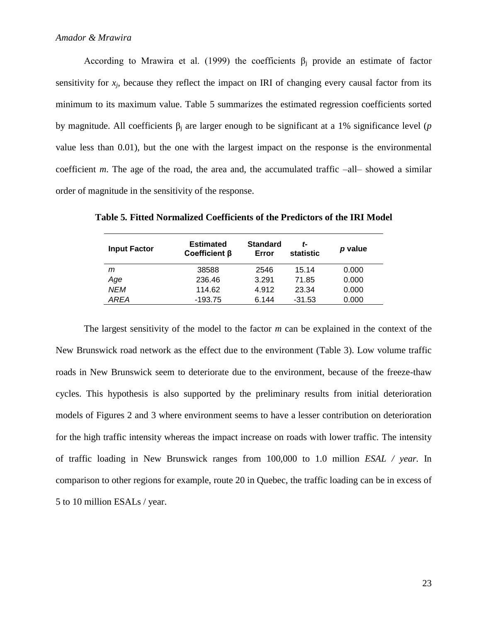According to Mrawira et al. (1999) the coefficients  $\beta_i$  provide an estimate of factor sensitivity for  $x_j$ , because they reflect the impact on IRI of changing every causal factor from its minimum to its maximum value. Table 5 summarizes the estimated regression coefficients sorted by magnitude. All coefficients  $β<sub>i</sub>$  are larger enough to be significant at a 1% significance level (*p* value less than 0.01), but the one with the largest impact on the response is the environmental coefficient *m*. The age of the road, the area and, the accumulated traffic –all– showed a similar order of magnitude in the sensitivity of the response.

| <b>Input Factor</b> | <b>Estimated</b><br>Coefficient $\beta$ | <b>Standard</b><br>Error | t-<br>statistic | p value |
|---------------------|-----------------------------------------|--------------------------|-----------------|---------|
| m                   | 38588                                   | 2546                     | 15.14           | 0.000   |
| Age                 | 236.46                                  | 3.291                    | 71.85           | 0.000   |
| <b>NEM</b>          | 114.62                                  | 4.912                    | 23.34           | 0.000   |
| AREA                | $-193.75$                               | 6.144                    | $-31.53$        | 0.000   |

**Table 5***.* **Fitted Normalized Coefficients of the Predictors of the IRI Model**

The largest sensitivity of the model to the factor *m* can be explained in the context of the New Brunswick road network as the effect due to the environment (Table 3). Low volume traffic roads in New Brunswick seem to deteriorate due to the environment, because of the freeze-thaw cycles. This hypothesis is also supported by the preliminary results from initial deterioration models of Figures 2 and 3 where environment seems to have a lesser contribution on deterioration for the high traffic intensity whereas the impact increase on roads with lower traffic. The intensity of traffic loading in New Brunswick ranges from 100,000 to 1.0 million *ESAL / year.* In comparison to other regions for example, route 20 in Quebec, the traffic loading can be in excess of 5 to 10 million ESALs / year.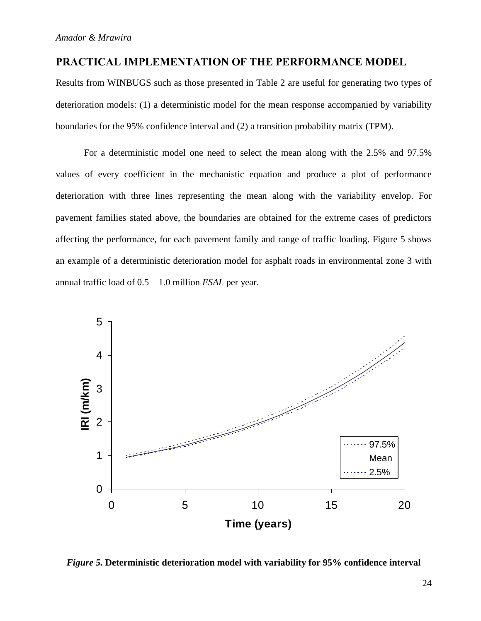### **PRACTICAL IMPLEMENTATION OF THE PERFORMANCE MODEL**

Results from WINBUGS such as those presented in Table 2 are useful for generating two types of deterioration models: (1) a deterministic model for the mean response accompanied by variability boundaries for the 95% confidence interval and (2) a transition probability matrix (TPM).

For a deterministic model one need to select the mean along with the 2.5% and 97.5% values of every coefficient in the mechanistic equation and produce a plot of performance deterioration with three lines representing the mean along with the variability envelop. For pavement families stated above, the boundaries are obtained for the extreme cases of predictors affecting the performance, for each pavement family and range of traffic loading. Figure 5 shows an example of a deterministic deterioration model for asphalt roads in environmental zone 3 with annual traffic load of 0.5 – 1.0 million *ESAL* per year.



*Figure 5.* **Deterministic deterioration model with variability for 95% confidence interval**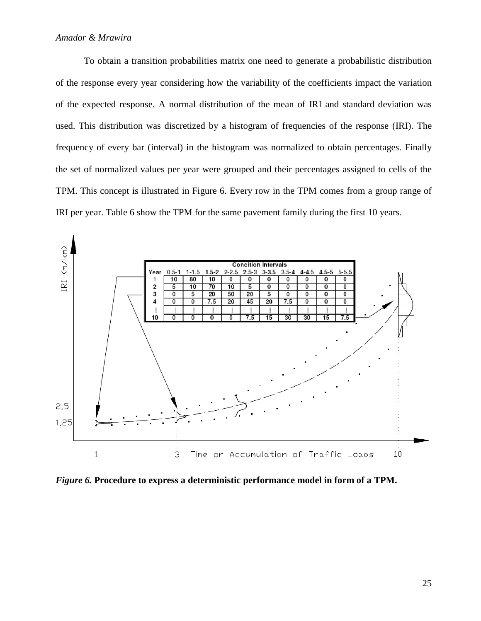To obtain a transition probabilities matrix one need to generate a probabilistic distribution of the response every year considering how the variability of the coefficients impact the variation of the expected response. A normal distribution of the mean of IRI and standard deviation was used. This distribution was discretized by a histogram of frequencies of the response (IRI). The frequency of every bar (interval) in the histogram was normalized to obtain percentages. Finally the set of normalized values per year were grouped and their percentages assigned to cells of the TPM. This concept is illustrated in Figure 6. Every row in the TPM comes from a group range of IRI per year. Table 6 show the TPM for the same pavement family during the first 10 years.



*Figure 6.* **Procedure to express a deterministic performance model in form of a TPM.**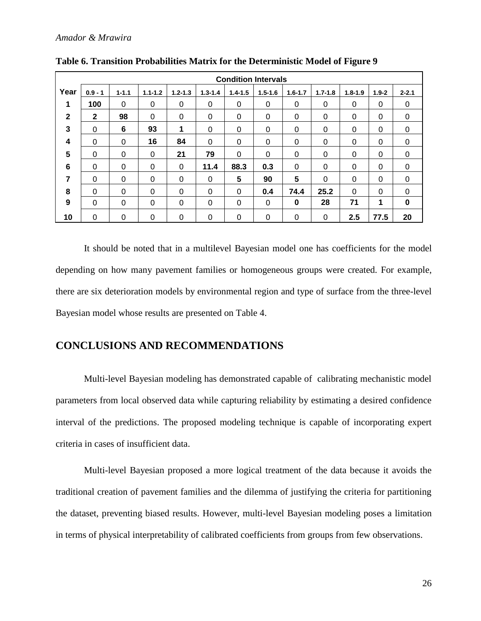|              | <b>Condition Intervals</b> |           |             |             |             |             |             |             |             |             |           |             |
|--------------|----------------------------|-----------|-------------|-------------|-------------|-------------|-------------|-------------|-------------|-------------|-----------|-------------|
| Year         | $0.9 - 1$                  | $1 - 1.1$ | $1.1 - 1.2$ | $1.2 - 1.3$ | $1.3 - 1.4$ | $1.4 - 1.5$ | $1.5 - 1.6$ | $1.6 - 1.7$ | $1.7 - 1.8$ | $1.8 - 1.9$ | $1.9 - 2$ | $2 - 2.1$   |
| 1            | 100                        | $\Omega$  | $\Omega$    | 0           | 0           | 0           | 0           | 0           | 0           | 0           | 0         | 0           |
| $\mathbf{2}$ | $\mathbf{2}$               | 98        | $\Omega$    | $\Omega$    | 0           | 0           | 0           | 0           | 0           | 0           | 0         | 0           |
| 3            | 0                          | 6         | 93          | 1           | 0           | 0           | 0           | 0           | 0           | 0           | $\Omega$  | 0           |
| 4            | 0                          | $\Omega$  | 16          | 84          | $\Omega$    | 0           | 0           | 0           | 0           | 0           | $\Omega$  | 0           |
| 5            | 0                          | 0         | $\Omega$    | 21          | 79          | 0           | 0           | 0           | 0           | 0           | 0         | 0           |
| 6            | $\Omega$                   | $\Omega$  | $\Omega$    | $\Omega$    | 11.4        | 88.3        | 0.3         | 0           | 0           | $\Omega$    | 0         | 0           |
| 7            | 0                          | $\Omega$  | $\Omega$    | 0           | 0           | 5           | 90          | 5           | 0           | $\Omega$    | 0         | 0           |
| 8            | 0                          | $\Omega$  | $\Omega$    | 0           | 0           | 0           | 0.4         | 74.4        | 25.2        | $\Omega$    | $\Omega$  | $\Omega$    |
| 9            | $\Omega$                   | $\Omega$  | $\Omega$    | 0           | 0           | 0           | $\Omega$    | 0           | 28          | 71          | 1         | $\mathbf 0$ |
| 10           | 0                          | $\Omega$  | $\Omega$    | 0           | 0           | 0           | 0           | 0           | 0           | 2.5         | 77.5      | 20          |

**Table 6. Transition Probabilities Matrix for the Deterministic Model of Figure 9**

It should be noted that in a multilevel Bayesian model one has coefficients for the model depending on how many pavement families or homogeneous groups were created. For example, there are six deterioration models by environmental region and type of surface from the three-level Bayesian model whose results are presented on Table 4.

### **CONCLUSIONS AND RECOMMENDATIONS**

Multi-level Bayesian modeling has demonstrated capable of calibrating mechanistic model parameters from local observed data while capturing reliability by estimating a desired confidence interval of the predictions. The proposed modeling technique is capable of incorporating expert criteria in cases of insufficient data.

Multi-level Bayesian proposed a more logical treatment of the data because it avoids the traditional creation of pavement families and the dilemma of justifying the criteria for partitioning the dataset, preventing biased results. However, multi-level Bayesian modeling poses a limitation in terms of physical interpretability of calibrated coefficients from groups from few observations.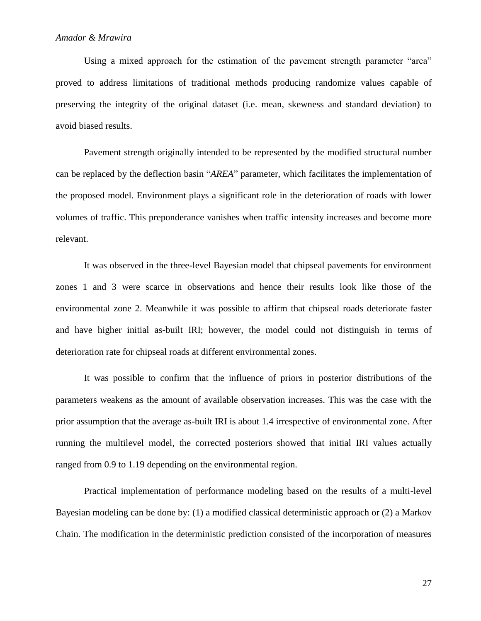Using a mixed approach for the estimation of the pavement strength parameter "area" proved to address limitations of traditional methods producing randomize values capable of preserving the integrity of the original dataset (i.e. mean, skewness and standard deviation) to avoid biased results.

Pavement strength originally intended to be represented by the modified structural number can be replaced by the deflection basin "*AREA*" parameter, which facilitates the implementation of the proposed model. Environment plays a significant role in the deterioration of roads with lower volumes of traffic. This preponderance vanishes when traffic intensity increases and become more relevant.

It was observed in the three-level Bayesian model that chipseal pavements for environment zones 1 and 3 were scarce in observations and hence their results look like those of the environmental zone 2. Meanwhile it was possible to affirm that chipseal roads deteriorate faster and have higher initial as-built IRI; however, the model could not distinguish in terms of deterioration rate for chipseal roads at different environmental zones.

It was possible to confirm that the influence of priors in posterior distributions of the parameters weakens as the amount of available observation increases. This was the case with the prior assumption that the average as-built IRI is about 1.4 irrespective of environmental zone. After running the multilevel model, the corrected posteriors showed that initial IRI values actually ranged from 0.9 to 1.19 depending on the environmental region.

Practical implementation of performance modeling based on the results of a multi-level Bayesian modeling can be done by: (1) a modified classical deterministic approach or (2) a Markov Chain. The modification in the deterministic prediction consisted of the incorporation of measures

27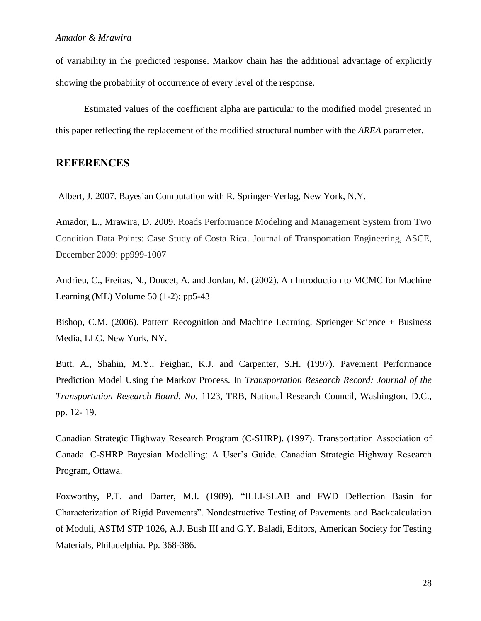of variability in the predicted response. Markov chain has the additional advantage of explicitly showing the probability of occurrence of every level of the response.

Estimated values of the coefficient alpha are particular to the modified model presented in this paper reflecting the replacement of the modified structural number with the *AREA* parameter.

# **REFERENCES**

Albert, J. 2007. Bayesian Computation with R. Springer-Verlag, New York, N.Y.

Amador, L., Mrawira, D. 2009. Roads Performance Modeling and Management System from Two Condition Data Points: Case Study of Costa Rica. Journal of Transportation Engineering, ASCE, December 2009: pp999-1007

Andrieu, C., Freitas, N., Doucet, A. and Jordan, M. (2002). An Introduction to MCMC for Machine Learning (ML) Volume 50 (1-2): pp5-43

Bishop, C.M. (2006). Pattern Recognition and Machine Learning. Sprienger Science + Business Media, LLC. New York, NY.

Butt, A., Shahin, M.Y., Feighan, K.J. and Carpenter, S.H. (1997). Pavement Performance Prediction Model Using the Markov Process. In *Transportation Research Record: Journal of the Transportation Research Board, No.* 1123, TRB, National Research Council, Washington, D.C., pp. 12- 19.

Canadian Strategic Highway Research Program (C-SHRP). (1997). Transportation Association of Canada. C-SHRP Bayesian Modelling: A User's Guide. Canadian Strategic Highway Research Program, Ottawa.

Foxworthy, P.T. and Darter, M.I. (1989). "ILLI-SLAB and FWD Deflection Basin for Characterization of Rigid Pavements". Nondestructive Testing of Pavements and Backcalculation of Moduli, ASTM STP 1026, A.J. Bush III and G.Y. Baladi, Editors, American Society for Testing Materials, Philadelphia. Pp. 368-386.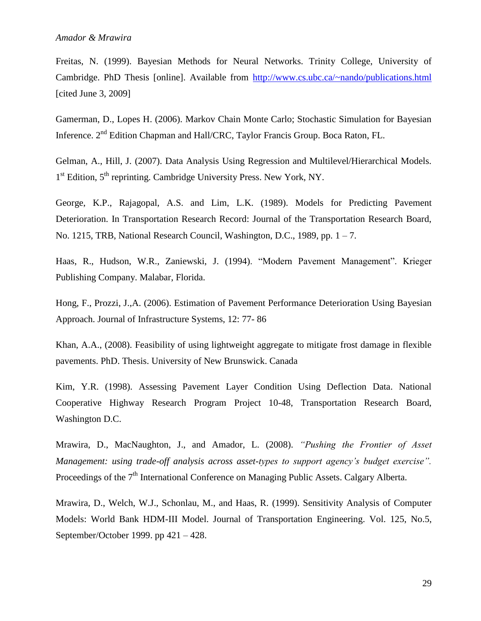Freitas, N. (1999). Bayesian Methods for Neural Networks. Trinity College, University of Cambridge. PhD Thesis [online]. Available from <http://www.cs.ubc.ca/~nando/publications.html> [cited June 3, 2009]

Gamerman, D., Lopes H. (2006). Markov Chain Monte Carlo; Stochastic Simulation for Bayesian Inference. 2nd Edition Chapman and Hall/CRC, Taylor Francis Group. Boca Raton, FL.

Gelman, A., Hill, J. (2007). Data Analysis Using Regression and Multilevel/Hierarchical Models. 1<sup>st</sup> Edition, 5<sup>th</sup> reprinting. Cambridge University Press. New York, NY.

George, K.P., Rajagopal, A.S. and Lim, L.K. (1989). Models for Predicting Pavement Deterioration. In Transportation Research Record: Journal of the Transportation Research Board, No. 1215, TRB, National Research Council, Washington, D.C., 1989, pp.  $1 - 7$ .

Haas, R., Hudson, W.R., Zaniewski, J. (1994). "Modern Pavement Management". Krieger Publishing Company. Malabar, Florida.

Hong, F., Prozzi, J.,A. (2006). Estimation of Pavement Performance Deterioration Using Bayesian Approach. Journal of Infrastructure Systems, 12: 77- 86

Khan, A.A., (2008). Feasibility of using lightweight aggregate to mitigate frost damage in flexible pavements. PhD. Thesis. University of New Brunswick. Canada

Kim, Y.R. (1998). Assessing Pavement Layer Condition Using Deflection Data. National Cooperative Highway Research Program Project 10-48, Transportation Research Board, Washington D.C.

Mrawira, D., MacNaughton, J., and Amador, L. (2008). *"Pushing the Frontier of Asset Management: using trade-off analysis across asset-types to support agency's budget exercise".* Proceedings of the  $7<sup>th</sup>$  International Conference on Managing Public Assets. Calgary Alberta.

Mrawira, D., Welch, W.J., Schonlau, M., and Haas, R. (1999). Sensitivity Analysis of Computer Models: World Bank HDM-III Model. Journal of Transportation Engineering. Vol. 125, No.5, September/October 1999. pp 421 – 428.